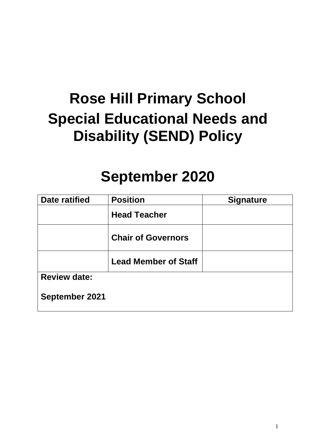# **Rose Hill Primary School Special Educational Needs and Disability (SEND) Policy**

# **September 2020**

| Date ratified         | <b>Position</b>             | <b>Signature</b> |
|-----------------------|-----------------------------|------------------|
|                       | <b>Head Teacher</b>         |                  |
|                       | <b>Chair of Governors</b>   |                  |
|                       | <b>Lead Member of Staff</b> |                  |
| <b>Review date:</b>   |                             |                  |
| <b>September 2021</b> |                             |                  |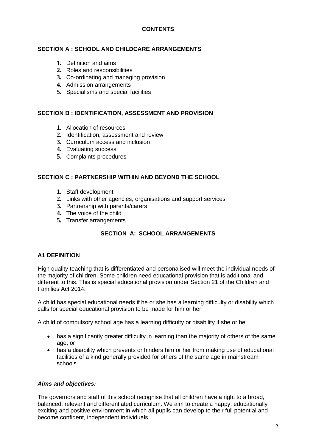# **CONTENTS**

### **SECTION A : SCHOOL AND CHILDCARE ARRANGEMENTS**

- **1.** Definition and aims
- **2.** Roles and responsibilities
- **3.** Co-ordinating and managing provision
- **4.** Admission arrangements
- **5.** Specialisms and special facilities

#### **SECTION B : IDENTIFICATION, ASSESSMENT AND PROVISION**

- **1.** Allocation of resources
- **2.** Identification, assessment and review
- **3.** Curriculum access and inclusion
- **4.** Evaluating success
- **5.** Complaints procedures

#### **SECTION C : PARTNERSHIP WITHIN AND BEYOND THE SCHOOL**

- **1.** Staff development
- **2.** Links with other agencies, organisations and support services
- **3.** Partnership with parents/carers
- **4.** The voice of the child
- **5.** Transfer arrangements

# **SECTION A: SCHOOL ARRANGEMENTS**

#### **A1 DEFINITION**

High quality teaching that is differentiated and personalised will meet the individual needs of the majority of children. Some children need educational provision that is additional and different to this. This is special educational provision under Section 21 of the Children and Families Act 2014.

A child has special educational needs if he or she has a learning difficulty or disability which calls for special educational provision to be made for him or her.

A child of compulsory school age has a learning difficulty or disability if she or he:

- has a significantly greater difficulty in learning than the majority of others of the same age, or
- has a disability which prevents or hinders him or her from making use of educational facilities of a kind generally provided for others of the same age in mainstream schools

#### *Aims and objectives:*

The governors and staff of this school recognise that all children have a right to a broad, balanced, relevant and differentiated curriculum. We aim to create a happy, educationally exciting and positive environment in which all pupils can develop to their full potential and become confident, independent individuals.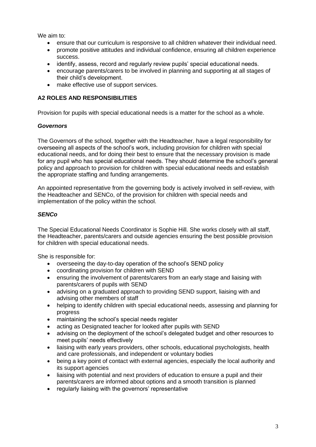We aim to:

- ensure that our curriculum is responsive to all children whatever their individual need.
- promote positive attitudes and individual confidence, ensuring all children experience success.
- identify, assess, record and regularly review pupils' special educational needs.
- encourage parents/carers to be involved in planning and supporting at all stages of their child's development.
- make effective use of support services.

# **A2 ROLES AND RESPONSIBILITIES**

Provision for pupils with special educational needs is a matter for the school as a whole.

#### *Governors*

The Governors of the school, together with the Headteacher, have a legal responsibility for overseeing all aspects of the school's work, including provision for children with special educational needs, and for doing their best to ensure that the necessary provision is made for any pupil who has special educational needs. They should determine the school's general policy and approach to provision for children with special educational needs and establish the appropriate staffing and funding arrangements.

An appointed representative from the governing body is actively involved in self-review, with the Headteacher and SENCo, of the provision for children with special needs and implementation of the policy within the school.

#### *SENCo*

The Special Educational Needs Coordinator is Sophie Hill. She works closely with all staff, the Headteacher, parents/carers and outside agencies ensuring the best possible provision for children with special educational needs.

She is responsible for:

- overseeing the day-to-day operation of the school's SEND policy
- coordinating provision for children with SEND
- ensuring the involvement of parents/carers from an early stage and liaising with parents/carers of pupils with SEND
- advising on a graduated approach to providing SEND support, liaising with and advising other members of staff
- helping to identify children with special educational needs, assessing and planning for progress
- maintaining the school's special needs register
- acting as Designated teacher for looked after pupils with SEND
- advising on the deployment of the school's delegated budget and other resources to meet pupils' needs effectively
- liaising with early years providers, other schools, educational psychologists, health and care professionals, and independent or voluntary bodies
- being a key point of contact with external agencies, especially the local authority and its support agencies
- liaising with potential and next providers of education to ensure a pupil and their parents/carers are informed about options and a smooth transition is planned
- regularly liaising with the governors' representative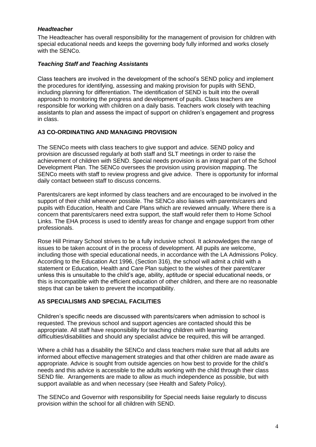#### *Headteacher*

The Headteacher has overall responsibility for the management of provision for children with special educational needs and keeps the governing body fully informed and works closely with the SENCo.

### *Teaching Staff and Teaching Assistants*

Class teachers are involved in the development of the school's SEND policy and implement the procedures for identifying, assessing and making provision for pupils with SEND, including planning for differentiation. The identification of SEND is built into the overall approach to monitoring the progress and development of pupils. Class teachers are responsible for working with children on a daily basis. Teachers work closely with teaching assistants to plan and assess the impact of support on children's engagement and progress in class.

#### **A3 CO-ORDINATING AND MANAGING PROVISION**

The SENCo meets with class teachers to give support and advice. SEND policy and provision are discussed regularly at both staff and SLT meetings in order to raise the achievement of children with SEND. Special needs provision is an integral part of the School Development Plan. The SENCo oversees the provision using provision mapping. The SENCo meets with staff to review progress and give advice. There is opportunity for informal daily contact between staff to discuss concerns.

Parents/carers are kept informed by class teachers and are encouraged to be involved in the support of their child whenever possible. The SENCo also liaises with parents/carers and pupils with Education, Health and Care Plans which are reviewed annually. Where there is a concern that parents/carers need extra support, the staff would refer them to Home School Links. The EHA process is used to identify areas for change and engage support from other professionals.

Rose Hill Primary School strives to be a fully inclusive school. It acknowledges the range of issues to be taken account of in the process of development. All pupils are welcome, including those with special educational needs, in accordance with the LA Admissions Policy. According to the Education Act 1996, (Section 316), the school will admit a child with a statement or Education, Health and Care Plan subject to the wishes of their parent/carer unless this is unsuitable to the child's age, ability, aptitude or special educational needs, or this is incompatible with the efficient education of other children, and there are no reasonable steps that can be taken to prevent the incompatibility.

# **A5 SPECIALISMS AND SPECIAL FACILITIES**

Children's specific needs are discussed with parents/carers when admission to school is requested. The previous school and support agencies are contacted should this be appropriate. All staff have responsibility for teaching children with learning difficulties/disabilities and should any specialist advice be required, this will be arranged.

Where a child has a disability the SENCo and class teachers make sure that all adults are informed about effective management strategies and that other children are made aware as appropriate. Advice is sought from outside agencies on how best to provide for the child's needs and this advice is accessible to the adults working with the child through their class SEND file. Arrangements are made to allow as much independence as possible, but with support available as and when necessary (see Health and Safety Policy).

The SENCo and Governor with responsibility for Special needs liaise regularly to discuss provision within the school for all children with SEND.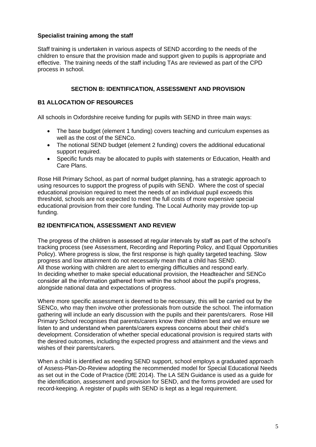### **Specialist training among the staff**

Staff training is undertaken in various aspects of SEND according to the needs of the children to ensure that the provision made and support given to pupils is appropriate and effective. The training needs of the staff including TAs are reviewed as part of the CPD process in school.

#### **SECTION B: IDENTIFICATION, ASSESSMENT AND PROVISION**

#### **B1 ALLOCATION OF RESOURCES**

All schools in Oxfordshire receive funding for pupils with SEND in three main ways:

- The base budget (element 1 funding) covers teaching and curriculum expenses as well as the cost of the SENCo.
- The notional SEND budget (element 2 funding) covers the additional educational support required.
- Specific funds may be allocated to pupils with statements or Education, Health and Care Plans.

Rose Hill Primary School, as part of normal budget planning, has a strategic approach to using resources to support the progress of pupils with SEND. Where the cost of special educational provision required to meet the needs of an individual pupil exceeds this threshold, schools are not expected to meet the full costs of more expensive special educational provision from their core funding. The Local Authority may provide top-up funding.

#### **B2 IDENTIFICATION, ASSESSMENT AND REVIEW**

The progress of the children is assessed at regular intervals by staff as part of the school's tracking process (see Assessment, Recording and Reporting Policy, and Equal Opportunities Policy). Where progress is slow, the first response is high quality targeted teaching. Slow progress and low attainment do not necessarily mean that a child has SEND. All those working with children are alert to emerging difficulties and respond early. In deciding whether to make special educational provision, the Headteacher and SENCo consider all the information gathered from within the school about the pupil's progress, alongside national data and expectations of progress.

Where more specific assessment is deemed to be necessary, this will be carried out by the SENCo, who may then involve other professionals from outside the school. The information gathering will include an early discussion with the pupils and their parents/carers. Rose Hill Primary School recognises that parents/carers know their children best and we ensure we listen to and understand when parents/carers express concerns about their child's development. Consideration of whether special educational provision is required starts with the desired outcomes, including the expected progress and attainment and the views and wishes of their parents/carers.

When a child is identified as needing SEND support, school employs a graduated approach of Assess-Plan-Do-Review adopting the recommended model for Special Educational Needs as set out in the Code of Practice (DfE 2014). The LA SEN Guidance is used as a guide for the identification, assessment and provision for SEND, and the forms provided are used for record-keeping. A register of pupils with SEND is kept as a legal requirement.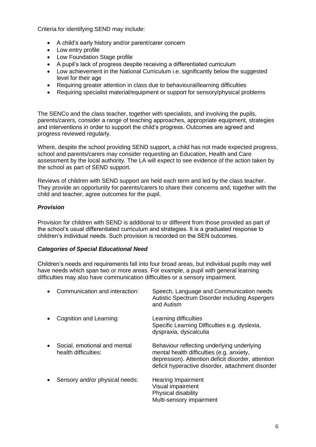Criteria for identifying SEND may include:

- A child's early history and/or parent/carer concern
- Low entry profile
- Low Foundation Stage profile
- A pupil's lack of progress despite receiving a differentiated curriculum
- Low achievement in the National Curriculum i.e. significantly below the suggested level for their age
- Requiring greater attention in class due to behavioural/learning difficulties
- Requiring specialist material/equipment or support for sensory/physical problems

The SENCo and the class teacher, together with specialists, and involving the pupils, parents/carers, consider a range of teaching approaches, appropriate equipment, strategies and interventions in order to support the child's progress. Outcomes are agreed and progress reviewed regularly.

Where, despite the school providing SEND support, a child has not made expected progress, school and parents/carers may consider requesting an Education, Health and Care assessment by the local authority. The LA will expect to see evidence of the action taken by the school as part of SEND support.

Reviews of children with SEND support are held each term and led by the class teacher. They provide an opportunity for parents/carers to share their concerns and, together with the child and teacher, agree outcomes for the pupil.

# *Provision*

Provision for children with SEND is additional to or different from those provided as part of the school's usual differentiated curriculum and strategies. It is a graduated response to children's individual needs. Such provision is recorded on the SEN outcomes.

#### *Categories of Special Educational Need*

Children's needs and requirements fall into four broad areas, but individual pupils may well have needs which span two or more areas. For example, a pupil with general learning difficulties may also have communication difficulties or a sensory impairment.

| $\bullet$ | Communication and interaction:                       | Speech, Language and Communication needs<br>Autistic Spectrum Disorder including Aspergers<br>and Autism                                                                                           |
|-----------|------------------------------------------------------|----------------------------------------------------------------------------------------------------------------------------------------------------------------------------------------------------|
| $\bullet$ | Cognition and Learning:                              | Learning difficulties<br>Specific Learning Difficulties e.g. dyslexia,<br>dyspraxia, dyscalculia                                                                                                   |
| $\bullet$ | Social, emotional and mental<br>health difficulties: | Behaviour reflecting underlying underlying<br>mental health difficulties (e.g. anxiety,<br>depression). Attention deficit disorder, attention<br>deficit hyperactive disorder, attachment disorder |
| $\bullet$ | Sensory and/or physical needs:                       | <b>Hearing Impairment</b><br>Visual impairment<br>Physical disability<br>Multi-sensory impairment                                                                                                  |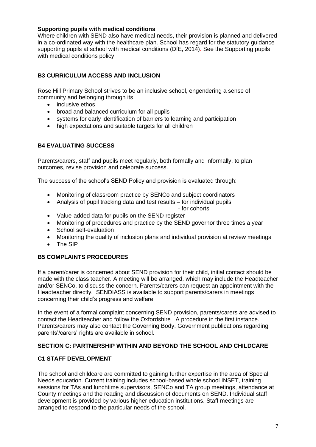#### **Supporting pupils with medical conditions**

Where children with SEND also have medical needs, their provision is planned and delivered in a co-ordinated way with the healthcare plan. School has regard for the statutory guidance supporting pupils at school with medical conditions (DfE, 2014). See the Supporting pupils with medical conditions policy.

# **B3 CURRICULUM ACCESS AND INCLUSION**

Rose Hill Primary School strives to be an inclusive school, engendering a sense of community and belonging through its

- inclusive ethos
- broad and balanced curriculum for all pupils
- systems for early identification of barriers to learning and participation
- high expectations and suitable targets for all children

# **B4 EVALUATING SUCCESS**

Parents/carers, staff and pupils meet regularly, both formally and informally, to plan outcomes, revise provision and celebrate success.

The success of the school's SEND Policy and provision is evaluated through:

- Monitoring of classroom practice by SENCo and subject coordinators
- Analysis of pupil tracking data and test results for individual pupils

- for cohorts

- Value-added data for pupils on the SEND register
- Monitoring of procedures and practice by the SEND governor three times a year
- School self-evaluation
- Monitoring the quality of inclusion plans and individual provision at review meetings
- The SIP

# **B5 COMPLAINTS PROCEDURES**

If a parent/carer is concerned about SEND provision for their child, initial contact should be made with the class teacher. A meeting will be arranged, which may include the Headteacher and/or SENCo, to discuss the concern. Parents/carers can request an appointment with the Headteacher directly. SENDIASS is available to support parents/carers in meetings concerning their child's progress and welfare.

In the event of a formal complaint concerning SEND provision, parents/carers are advised to contact the Headteacher and follow the Oxfordshire LA procedure in the first instance. Parents/carers may also contact the Governing Body. Government publications regarding parents'/carers' rights are available in school.

# **SECTION C: PARTNERSHIP WITHIN AND BEYOND THE SCHOOL AND CHILDCARE**

# **C1 STAFF DEVELOPMENT**

The school and childcare are committed to gaining further expertise in the area of Special Needs education. Current training includes school-based whole school INSET, training sessions for TAs and lunchtime supervisors, SENCo and TA group meetings, attendance at County meetings and the reading and discussion of documents on SEND. Individual staff development is provided by various higher education institutions. Staff meetings are arranged to respond to the particular needs of the school.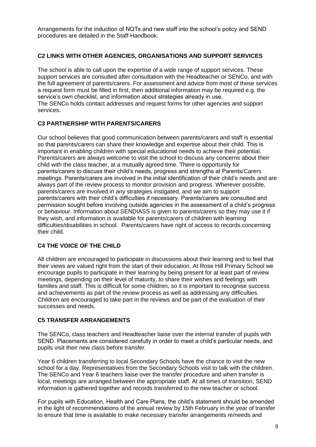Arrangements for the induction of NQTs and new staff into the school's policy and SEND procedures are detailed in the Staff Handbook.

#### **C2 LINKS WITH OTHER AGENCIES, ORGANISATIONS AND SUPPORT SERVICES**

The school is able to call upon the expertise of a wide range of support services. These support services are consulted after consultation with the Headteacher or SENCo, and with the full agreement of parents/carers. For assessment and advice from most of these services a request form must be filled in first, then additional information may be required e.g. the service's own checklist, and information about strategies already in use. The SENCo holds contact addresses and request forms for other agencies and support services.

#### **C3 PARTNERSHIP WITH PARENTS/CARERS**

Our school believes that good communication between parents/carers and staff is essential so that parents/carers can share their knowledge and expertise about their child. This is important in enabling children with special educational needs to achieve their potential. Parents/carers are always welcome to visit the school to discuss any concerns about their child with the class teacher, at a mutually agreed time. There is opportunity for parents/carers to discuss their child's needs, progress and strengths at Parents/Carers meetings. Parents/carers are involved in the initial identification of their child's needs and are always part of the review process to monitor provision and progress. Wherever possible, parents/carers are involved in any strategies instigated, and we aim to support parents/carers with their child's difficulties if necessary. Parents/carers are consulted and permission sought before involving outside agencies in the assessment of a child's progress or behaviour. Information about SENDIASS is given to parents/carers so they may use it if they wish, and information is available for parents/carers of children with learning difficulties/disabilities in school. Parents/carers have right of access to records concerning their child.

# **C4 THE VOICE OF THE CHILD**

All children are encouraged to participate in discussions about their learning and to feel that their views are valued right from the start of their education. At Rose Hill Primary School we encourage pupils to participate in their learning by being present for at least part of review meetings, depending on their level of maturity, to share their wishes and feelings with families and staff. This is difficult for some children, so it is important to recognise success and achievements as part of the review process as well as addressing any difficulties. Children are encouraged to take part in the reviews and be part of the evaluation of their successes and needs.

#### **C5 TRANSFER ARRANGEMENTS**

The SENCo, class teachers and Headteacher liaise over the internal transfer of pupils with SEND. Placements are considered carefully in order to meet a child's particular needs, and pupils visit their new class before transfer.

Year 6 children transferring to local Secondary Schools have the chance to visit the new school for a day. Representatives from the Secondary Schools visit to talk with the children. The SENCo and Year 6 teachers liaise over the transfer procedure and when transfer is local, meetings are arranged between the appropriate staff. At all times of transition, SEND information is gathered together and records transferred to the new teacher or school.

For pupils with Education, Health and Care Plans, the child's statement should be amended in the light of recommendations of the annual review by 15th February in the year of transfer to ensure that time is available to make necessary transfer arrangements re/needs and